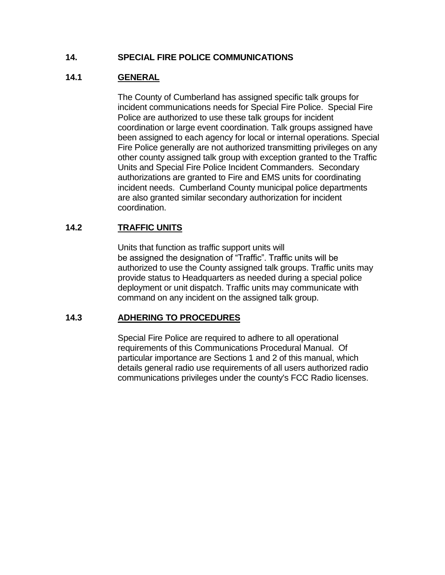# **14. SPECIAL FIRE POLICE COMMUNICATIONS**

# **14.1 GENERAL**

The County of Cumberland has assigned specific talk groups for incident communications needs for Special Fire Police. Special Fire Police are authorized to use these talk groups for incident coordination or large event coordination. Talk groups assigned have been assigned to each agency for local or internal operations. Special Fire Police generally are not authorized transmitting privileges on any other county assigned talk group with exception granted to the Traffic Units and Special Fire Police Incident Commanders. Secondary authorizations are granted to Fire and EMS units for coordinating incident needs. Cumberland County municipal police departments are also granted similar secondary authorization for incident coordination.

## **14.2 TRAFFIC UNITS**

Units that function as traffic support units will be assigned the designation of "Traffic". Traffic units will be authorized to use the County assigned talk groups. Traffic units may provide status to Headquarters as needed during a special police deployment or unit dispatch. Traffic units may communicate with command on any incident on the assigned talk group.

### **14.3 ADHERING TO PROCEDURES**

Special Fire Police are required to adhere to all operational requirements of this Communications Procedural Manual. Of particular importance are Sections 1 and 2 of this manual, which details general radio use requirements of all users authorized radio communications privileges under the county's FCC Radio licenses.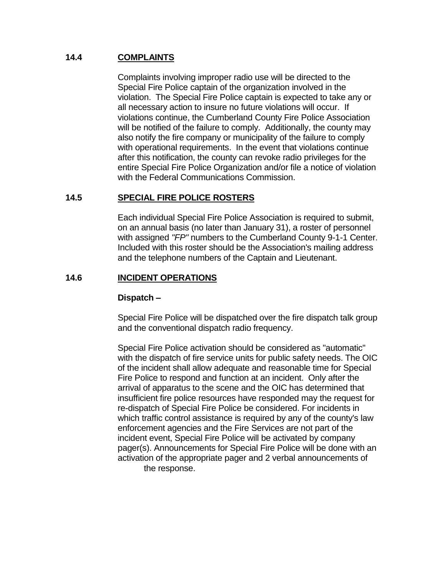## **14.4 COMPLAINTS**

Complaints involving improper radio use will be directed to the Special Fire Police captain of the organization involved in the violation. The Special Fire Police captain is expected to take any or all necessary action to insure no future violations will occur. If violations continue, the Cumberland County Fire Police Association will be notified of the failure to comply. Additionally, the county may also notify the fire company or municipality of the failure to comply with operational requirements. In the event that violations continue after this notification, the county can revoke radio privileges for the entire Special Fire Police Organization and/or file a notice of violation with the Federal Communications Commission.

## **14.5 SPECIAL FIRE POLICE ROSTERS**

Each individual Special Fire Police Association is required to submit, on an annual basis (no later than January 31), a roster of personnel with assigned *"FP"* numbers to the Cumberland County 9-1-1 Center. Included with this roster should be the Association's mailing address and the telephone numbers of the Captain and Lieutenant.

### **14.6 INCIDENT OPERATIONS**

#### **Dispatch –**

Special Fire Police will be dispatched over the fire dispatch talk group and the conventional dispatch radio frequency.

Special Fire Police activation should be considered as "automatic" with the dispatch of fire service units for public safety needs. The OIC of the incident shall allow adequate and reasonable time for Special Fire Police to respond and function at an incident. Only after the arrival of apparatus to the scene and the OIC has determined that insufficient fire police resources have responded may the request for re-dispatch of Special Fire Police be considered. For incidents in which traffic control assistance is required by any of the county's law enforcement agencies and the Fire Services are not part of the incident event, Special Fire Police will be activated by company pager(s). Announcements for Special Fire Police will be done with an activation of the appropriate pager and 2 verbal announcements of the response.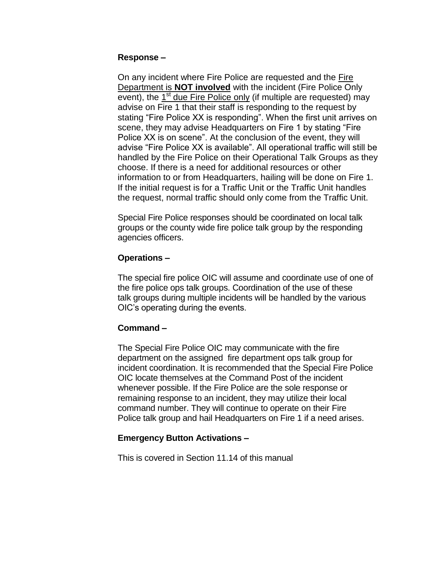#### **Response –**

On any incident where Fire Police are requested and the Fire Department is **NOT involved** with the incident (Fire Police Only event), the  $1<sup>st</sup>$  due Fire Police only (if multiple are requested) may advise on Fire 1 that their staff is responding to the request by stating "Fire Police XX is responding". When the first unit arrives on scene, they may advise Headquarters on Fire 1 by stating "Fire Police XX is on scene". At the conclusion of the event, they will advise "Fire Police XX is available". All operational traffic will still be handled by the Fire Police on their Operational Talk Groups as they choose. If there is a need for additional resources or other information to or from Headquarters, hailing will be done on Fire 1. If the initial request is for a Traffic Unit or the Traffic Unit handles the request, normal traffic should only come from the Traffic Unit.

Special Fire Police responses should be coordinated on local talk groups or the county wide fire police talk group by the responding agencies officers.

### **Operations –**

The special fire police OIC will assume and coordinate use of one of the fire police ops talk groups. Coordination of the use of these talk groups during multiple incidents will be handled by the various OIC's operating during the events.

### **Command –**

The Special Fire Police OIC may communicate with the fire department on the assigned fire department ops talk group for incident coordination. It is recommended that the Special Fire Police OIC locate themselves at the Command Post of the incident whenever possible. If the Fire Police are the sole response or remaining response to an incident, they may utilize their local command number. They will continue to operate on their Fire Police talk group and hail Headquarters on Fire 1 if a need arises.

#### **Emergency Button Activations –**

This is covered in Section 11.14 of this manual